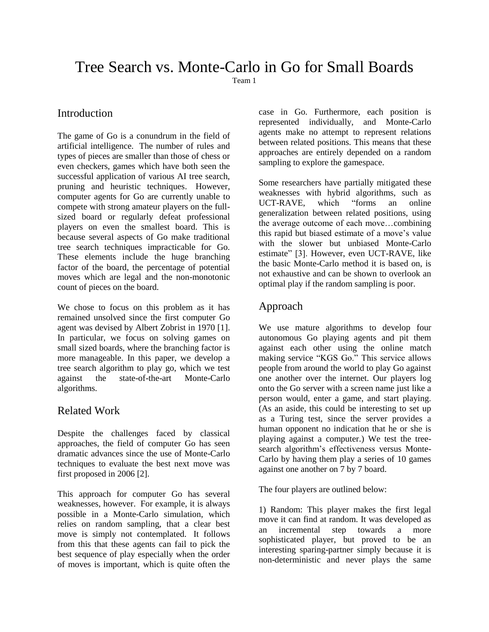# Tree Search vs. Monte-Carlo in Go for Small Boards

Team 1

## Introduction

The game of Go is a conundrum in the field of artificial intelligence. The number of rules and types of pieces are smaller than those of chess or even checkers, games which have both seen the successful application of various AI tree search, pruning and heuristic techniques. However, computer agents for Go are currently unable to compete with strong amateur players on the fullsized board or regularly defeat professional players on even the smallest board. This is because several aspects of Go make traditional tree search techniques impracticable for Go. These elements include the huge branching factor of the board, the percentage of potential moves which are legal and the non-monotonic count of pieces on the board.

We chose to focus on this problem as it has remained unsolved since the first computer Go agent was devised by Albert Zobrist in 1970 [1]. In particular, we focus on solving games on small sized boards, where the branching factor is more manageable. In this paper, we develop a tree search algorithm to play go, which we test against the state-of-the-art Monte-Carlo algorithms.

### Related Work

Despite the challenges faced by classical approaches, the field of computer Go has seen dramatic advances since the use of Monte-Carlo techniques to evaluate the best next move was first proposed in 2006 [2].

This approach for computer Go has several weaknesses, however. For example, it is always possible in a Monte-Carlo simulation, which relies on random sampling, that a clear best move is simply not contemplated. It follows from this that these agents can fail to pick the best sequence of play especially when the order of moves is important, which is quite often the

case in Go. Furthermore, each position is represented individually, and Monte-Carlo agents make no attempt to represent relations between related positions. This means that these approaches are entirely depended on a random sampling to explore the gamespace.

Some researchers have partially mitigated these weaknesses with hybrid algorithms, such as UCT-RAVE, which "forms an online generalization between related positions, using the average outcome of each move…combining this rapid but biased estimate of a move's value with the slower but unbiased Monte-Carlo estimate" [3]. However, even UCT-RAVE, like the basic Monte-Carlo method it is based on, is not exhaustive and can be shown to overlook an optimal play if the random sampling is poor.

## Approach

We use mature algorithms to develop four autonomous Go playing agents and pit them against each other using the online match making service "KGS Go." This service allows people from around the world to play Go against one another over the internet. Our players log onto the Go server with a screen name just like a person would, enter a game, and start playing. (As an aside, this could be interesting to set up as a Turing test, since the server provides a human opponent no indication that he or she is playing against a computer.) We test the treesearch algorithm's effectiveness versus Monte-Carlo by having them play a series of 10 games against one another on 7 by 7 board.

The four players are outlined below:

1) Random: This player makes the first legal move it can find at random. It was developed as an incremental step towards a more sophisticated player, but proved to be an interesting sparing-partner simply because it is non-deterministic and never plays the same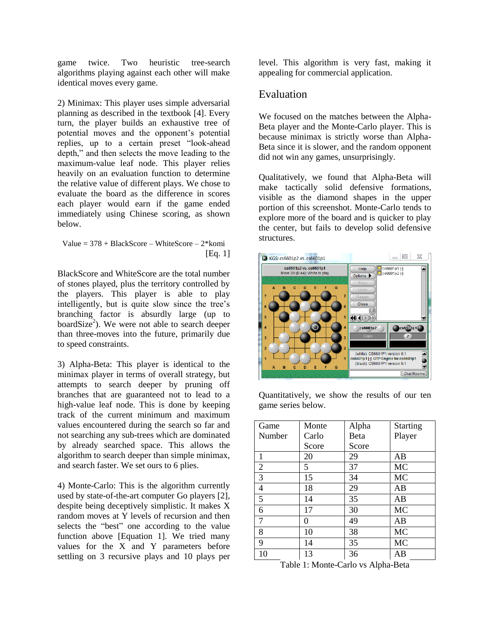game twice. Two heuristic tree-search algorithms playing against each other will make identical moves every game.

2) Minimax: This player uses simple adversarial planning as described in the textbook [4]. Every turn, the player builds an exhaustive tree of potential moves and the opponent's potential replies, up to a certain preset "look-ahead depth," and then selects the move leading to the maximum-value leaf node. This player relies heavily on an evaluation function to determine the relative value of different plays. We chose to evaluate the board as the difference in scores each player would earn if the game ended immediately using Chinese scoring, as shown below.

Value = 
$$
378 + BlackScore - WhiteScore - 2*komi
$$
 [Eq. 1]

BlackScore and WhiteScore are the total number of stones played, plus the territory controlled by the players. This player is able to play intelligently, but is quite slow since the tree's branching factor is absurdly large (up to board $Size^2$ ). We were not able to search deeper than three-moves into the future, primarily due to speed constraints.

3) Alpha-Beta: This player is identical to the minimax player in terms of overall strategy, but attempts to search deeper by pruning off branches that are guaranteed not to lead to a high-value leaf node. This is done by keeping track of the current minimum and maximum values encountered during the search so far and not searching any sub-trees which are dominated by already searched space. This allows the algorithm to search deeper than simple minimax, and search faster. We set ours to 6 plies.

4) Monte-Carlo: This is the algorithm currently used by state-of-the-art computer Go players [2], despite being deceptively simplistic. It makes X random moves at Y levels of recursion and then selects the "best" one according to the value function above [Equation 1]. We tried many values for the X and Y parameters before settling on 3 recursive plays and 10 plays per level. This algorithm is very fast, making it appealing for commercial application.

## Evaluation

We focused on the matches between the Alpha-Beta player and the Monte-Carlo player. This is because minimax is strictly worse than Alpha-Beta since it is slower, and the random opponent did not win any games, unsurprisingly.

Qualitatively, we found that Alpha-Beta will make tactically solid defensive formations, visible as the diamond shapes in the upper portion of this screenshot. Monte-Carlo tends to explore more of the board and is quicker to play the center, but fails to develop solid defensive structures.



Quantitatively, we show the results of our ten game series below.

| Game           | Monte | Alpha       | <b>Starting</b> |
|----------------|-------|-------------|-----------------|
| Number         | Carlo | <b>Beta</b> | Player          |
|                | Score | Score       |                 |
| $\mathbf{1}$   | 20    | 29          | AB              |
| $\overline{2}$ | 5     | 37          | MC              |
| $\overline{3}$ | 15    | 34          | MC              |
| $\overline{4}$ | 18    | 29          | AB              |
| 5              | 14    | 35          | AB              |
| 6              | 17    | 30          | MC              |
| $\overline{7}$ | 0     | 49          | AB              |
| 8              | 10    | 38          | MC              |
| 9              | 14    | 35          | MC              |
| 10             | 13    | 36          | ΑB              |

Table 1: Monte-Carlo vs Alpha-Beta